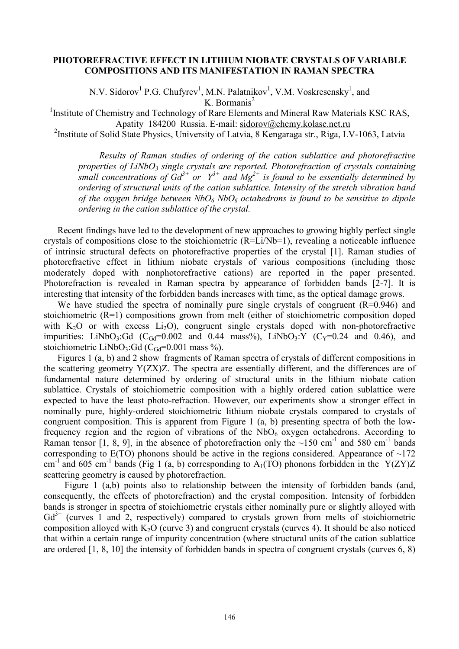## **PHOTOREFRACTIVE EFFECT IN LITHIUM NIOBATE CRYSTALS OF VARIABLE COMPOSITIONS AND ITS MANIFESTATION IN RAMAN SPECTRA**

N.V. Sidorov<sup>1</sup> P.G. Chufyrev<sup>1</sup>, M.N. Palatnikov<sup>1</sup>, V.M. Voskresensky<sup>1</sup>, and K. Bormanis<sup>2</sup>

<sup>1</sup> Institute of Chemistry and Technology of Rare Elements and Mineral Raw Materials KSC RAS, Apatity 184200 Russia. E-mail: [sidorov@chemy.kolasc.net.ru](mailto:sidorov@chemy.kolasc.net.ru)

<sup>2</sup> Institute of Solid State Physics, University of Latvia, 8 Kengaraga str., Riga, LV-1063, Latvia

*Results of Raman studies of ordering of the cation sublattice and photorefractive properties of LiNbO<sup>3</sup> single crystals are reported. Photorefraction of crystals containing small concentrations of*  $Gd^{3+}$  *or*  $Y^{3+}$  *and*  $Mg^{2+}$  *is found to be essentially determined by ordering of structural units of the cation sublattice. Intensity of the stretch vibration band of the oxygen bridge between NbO<sup>6</sup> NbO<sup>6</sup> octahedrons is found to be sensitive to dipole ordering in the cation sublattice of the crystal.* 

Recent findings have led to the development of new approaches to growing highly perfect single crystals of compositions close to the stoichiometric (R=Li/Nb=1), revealing a noticeable influence of intrinsic structural defects on photorefractive properties of the crystal [1]. Raman studies of photorefractive effect in lithium niobate crystals of various compositions (including those moderately doped with nonphotorefractive cations) are reported in the paper presented. Photorefraction is revealed in Raman spectra by appearance of forbidden bands [2-7]. It is interesting that intensity of the forbidden bands increases with time, as the optical damage grows.

We have studied the spectra of nominally pure single crystals of congruent  $(R=0.946)$  and stoichiometric (R=1) compositions grown from melt (either of stoichiometric composition doped with  $K_2O$  or with excess  $Li_2O$ ), congruent single crystals doped with non-photorefractive impurities: LiNbO<sub>3</sub>:Gd (C<sub>Gd</sub>=0.002 and 0.44 mass%), LiNbO<sub>3</sub>:Y (C<sub>Y</sub>=0.24 and 0.46), and stoichiometric LiNbO<sub>3</sub>:Gd (C<sub>Gd</sub>=0.001 mass %).

Figures 1 (a, b) and 2 show fragments of Raman spectra of crystals of different compositions in the scattering geometry Y(ZX)Z. The spectra are essentially different, and the differences are of fundamental nature determined by ordering of structural units in the lithium niobate cation sublattice. Crystals of stoichiometric composition with a highly ordered cation sublattice were expected to have the least photo-refraction. However, our experiments show a stronger effect in nominally pure, highly-ordered stoichiometric lithium niobate crystals compared to crystals of congruent composition. This is apparent from Figure 1 (a, b) presenting spectra of both the lowfrequency region and the region of vibrations of the  $NbO<sub>6</sub>$  oxygen octahedrons. According to Raman tensor [1, 8, 9], in the absence of photorefraction only the  $\sim 150$  cm<sup>-1</sup> and 580 cm<sup>-1</sup> bands corresponding to  $E(TO)$  phonons should be active in the regions considered. Appearance of  $\sim$ 172 cm<sup>-1</sup> and 605 cm<sup>-1</sup> bands (Fig 1 (a, b) corresponding to A<sub>1</sub>(TO) phonons forbidden in the Y(ZY)Z scattering geometry is caused by photorefraction.

Figure 1 (a,b) points also to relationship between the intensity of forbidden bands (and, consequently, the effects of photorefraction) and the crystal composition. Intensity of forbidden bands is stronger in spectra of stoichiometric crystals either nominally pure or slightly alloyed with  $Gd^{3+}$  (curves 1 and 2, respectively) compared to crystals grown from melts of stoichiometric composition alloyed with  $K_2O$  (curve 3) and congruent crystals (curves 4). It should be also noticed that within a certain range of impurity concentration (where structural units of the cation sublattice are ordered [1, 8, 10] the intensity of forbidden bands in spectra of congruent crystals (curves 6, 8)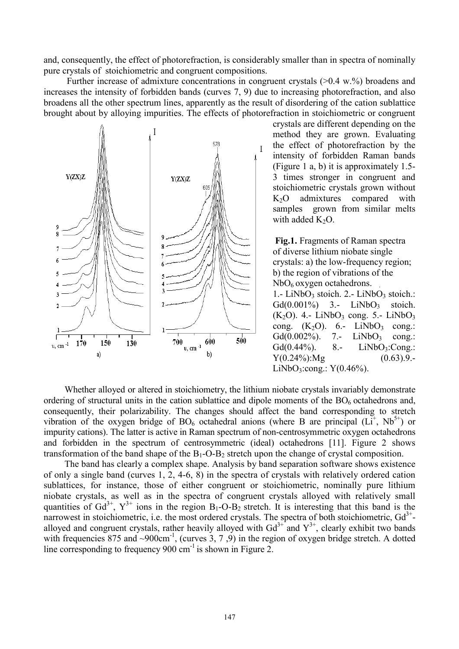and, consequently, the effect of photorefraction, is considerably smaller than in spectra of nominally pure crystals of stoichiometric and congruent compositions.

Further increase of admixture concentrations in congruent crystals  $(>0.4 \text{ w.}\%)$  broadens and increases the intensity of forbidden bands (curves 7, 9) due to increasing photorefraction, and also broadens all the other spectrum lines, apparently as the result of disordering of the cation sublattice brought about by alloying impurities. The effects of photorefraction in stoichiometric or congruent



crystals are different depending on the method they are grown. Evaluating the effect of photorefraction by the intensity of forbidden Raman bands (Figure 1 a, b) it is approximately 1.5- 3 times stronger in congruent and stoichiometric crystals grown without K2O admixtures compared with samples grown from similar melts with added  $K_2O$ .

**Fig.1.** Fragments of Raman spectra of diverse lithium niobate single crystals: a) the low-frequency region; b) the region of vibrations of the  $NbO<sub>6</sub>$  oxygen octahedrons.

1.- LiNbO<sub>3</sub> stoich. 2.- LiNbO<sub>3</sub> stoich.:  $Gd(0.001\%)$  3.- LiNbO<sub>3</sub> stoich.  $(K<sub>2</sub>O)$ . 4.- LiNbO<sub>3</sub> cong. 5.- LiNbO<sub>3</sub> cong.  $(K_2O)$ . 6.- LiNbO<sub>3</sub> cong.:  $Gd(0.002\%)$ . 7.- LiNbO<sub>3</sub> cong.:  $Gd(0.44\%)$ . 8.- LiNbO<sub>3</sub>:Cong.:  $Y(0.24\%)$ :Mg  $(0.63)$ .9.-LiNbO<sub>3</sub>:cong.:  $Y(0.46\%)$ .

Whether alloyed or altered in stoichiometry, the lithium niobate crystals invariably demonstrate ordering of structural units in the cation sublattice and dipole moments of the  $BO<sub>6</sub>$  octahedrons and, consequently, their polarizability. The changes should affect the band corresponding to stretch vibration of the oxygen bridge of  $BO_6$  octahedral anions (where B are principal  $(L<sup>+</sup>, Nb<sup>5+</sup>)$  or impurity cations). The latter is active in Raman spectrum of non-centrosymmetric oxygen octahedrons and forbidden in the spectrum of centrosymmetric (ideal) octahedrons [11]. Figure 2 shows transformation of the band shape of the  $B_1-O-B_2$  stretch upon the change of crystal composition.

The band has clearly a complex shape. Analysis by band separation software shows existence of only a single band (curves 1, 2, 4-6, 8) in the spectra of crystals with relatively ordered cation sublattices, for instance, those of either congruent or stoichiometric, nominally pure lithium niobate crystals, as well as in the spectra of congruent crystals alloyed with relatively small quantities of  $Gd^{3+}$ ,  $Y^{3+}$  ions in the region  $B_1$ -O- $B_2$  stretch. It is interesting that this band is the narrowest in stoichiometric, i.e. the most ordered crystals. The spectra of both stoichiometric,  $Gd^{3+}$ alloyed and congruent crystals, rather heavily alloyed with  $Gd^{3+}$  and  $Y^{3+}$ , clearly exhibit two bands with frequencies 875 and ~900cm<sup>-1</sup>, (curves  $3, 7, 9$ ) in the region of oxygen bridge stretch. A dotted line corresponding to frequency  $900 \text{ cm}^{-1}$  is shown in Figure 2.